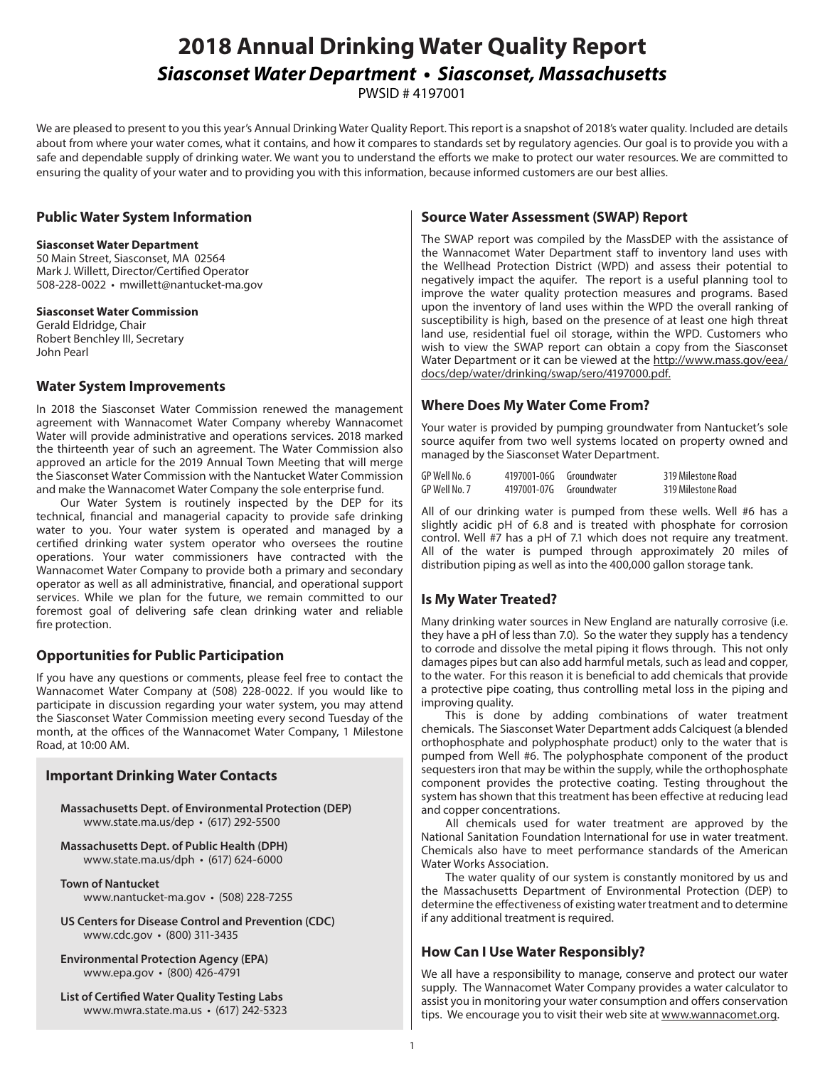# **2018 Annual Drinking Water Quality Report** *Siasconset Water Department • Siasconset, Massachusetts*

PWSID # 4197001

We are pleased to present to you this year's Annual Drinking Water Quality Report. This report is a snapshot of 2018's water quality. Included are details about from where your water comes, what it contains, and how it compares to standards set by regulatory agencies. Our goal is to provide you with a safe and dependable supply of drinking water. We want you to understand the efforts we make to protect our water resources. We are committed to ensuring the quality of your water and to providing you with this information, because informed customers are our best allies.

#### **Public Water System Information**

#### **Siasconset Water Department**

50 Main Street, Siasconset, MA 02564 Mark J. Willett, Director/Certified Operator 508-228-0022 • mwillett@nantucket-ma.gov

#### **Siasconset Water Commission**

Gerald Eldridge, Chair Robert Benchley III, Secretary John Pearl

#### **Water System Improvements**

In 2018 the Siasconset Water Commission renewed the management agreement with Wannacomet Water Company whereby Wannacomet Water will provide administrative and operations services. 2018 marked the thirteenth year of such an agreement. The Water Commission also approved an article for the 2019 Annual Town Meeting that will merge the Siasconset Water Commission with the Nantucket Water Commission and make the Wannacomet Water Company the sole enterprise fund.

Our Water System is routinely inspected by the DEP for its technical, financial and managerial capacity to provide safe drinking water to you. Your water system is operated and managed by a certified drinking water system operator who oversees the routine operations. Your water commissioners have contracted with the Wannacomet Water Company to provide both a primary and secondary operator as well as all administrative, financial, and operational support services. While we plan for the future, we remain committed to our foremost goal of delivering safe clean drinking water and reliable fire protection.

# **Opportunities for Public Participation**

If you have any questions or comments, please feel free to contact the Wannacomet Water Company at (508) 228-0022. If you would like to participate in discussion regarding your water system, you may attend the Siasconset Water Commission meeting every second Tuesday of the month, at the offices of the Wannacomet Water Company, 1 Milestone Road, at 10:00 AM.

#### **Important Drinking Water Contacts**

**Massachusetts Dept. of Environmental Protection (DEP)**  www.state.ma.us/dep • (617) 292-5500

**Massachusetts Dept. of Public Health (DPH)**  www.state.ma.us/dph • (617) 624-6000

- **Town of Nantucket**  www.nantucket-ma.gov • (508) 228-7255
- **US Centers for Disease Control and Prevention (CDC)**  www.cdc.gov • (800) 311-3435
- **Environmental Protection Agency (EPA)**  www.epa.gov • (800) 426-4791
- **List of Certified Water Quality Testing Labs**  www.mwra.state.ma.us • (617) 242-5323

### **Source Water Assessment (SWAP) Report**

The SWAP report was compiled by the MassDEP with the assistance of the Wannacomet Water Department staff to inventory land uses with the Wellhead Protection District (WPD) and assess their potential to negatively impact the aquifer. The report is a useful planning tool to improve the water quality protection measures and programs. Based upon the inventory of land uses within the WPD the overall ranking of susceptibility is high, based on the presence of at least one high threat land use, residential fuel oil storage, within the WPD. Customers who wish to view the SWAP report can obtain a copy from the Siasconset Water Department or it can be viewed at the http://www.mass.gov/eea/ docs/dep/water/drinking/swap/sero/4197000.pdf.

#### **Where Does My Water Come From?**

Your water is provided by pumping groundwater from Nantucket's sole source aquifer from two well systems located on property owned and managed by the Siasconset Water Department.

| GP Well No. 6 | 4197001-06G | Groundwater | 319 Milestone Road |
|---------------|-------------|-------------|--------------------|
| GP Well No. 7 | 4197001-07G | Groundwater | 319 Milestone Road |

All of our drinking water is pumped from these wells. Well #6 has a slightly acidic  $pH$  of 6.8 and is treated with phosphate for corrosion control. Well #7 has a pH of 7.1 which does not require any treatment. All of the water is pumped through approximately 20 miles of distribution piping as well as into the 400,000 gallon storage tank.

# **Is My Water Treated?**

Many drinking water sources in New England are naturally corrosive (i.e. they have a pH of less than 7.0). So the water they supply has a tendency to corrode and dissolve the metal piping it flows through. This not only damages pipes but can also add harmful metals, such as lead and copper, to the water. For this reason it is beneficial to add chemicals that provide a protective pipe coating, thus controlling metal loss in the piping and improving quality.

This is done by adding combinations of water treatment chemicals. The Siasconset Water Department adds Calciquest (a blended orthophosphate and polyphosphate product) only to the water that is pumped from Well #6. The polyphosphate component of the product sequesters iron that may be within the supply, while the orthophosphate component provides the protective coating. Testing throughout the system has shown that this treatment has been effective at reducing lead and copper concentrations.

All chemicals used for water treatment are approved by the National Sanitation Foundation International for use in water treatment. Chemicals also have to meet performance standards of the American Water Works Association.

The water quality of our system is constantly monitored by us and the Massachusetts Department of Environmental Protection (DEP) to determine the effectiveness of existing water treatment and to determine if any additional treatment is required.

# **How Can I Use Water Responsibly?**

We all have a responsibility to manage, conserve and protect our water supply. The Wannacomet Water Company provides a water calculator to assist you in monitoring your water consumption and offers conservation tips. We encourage you to visit their web site at www.wannacomet.org.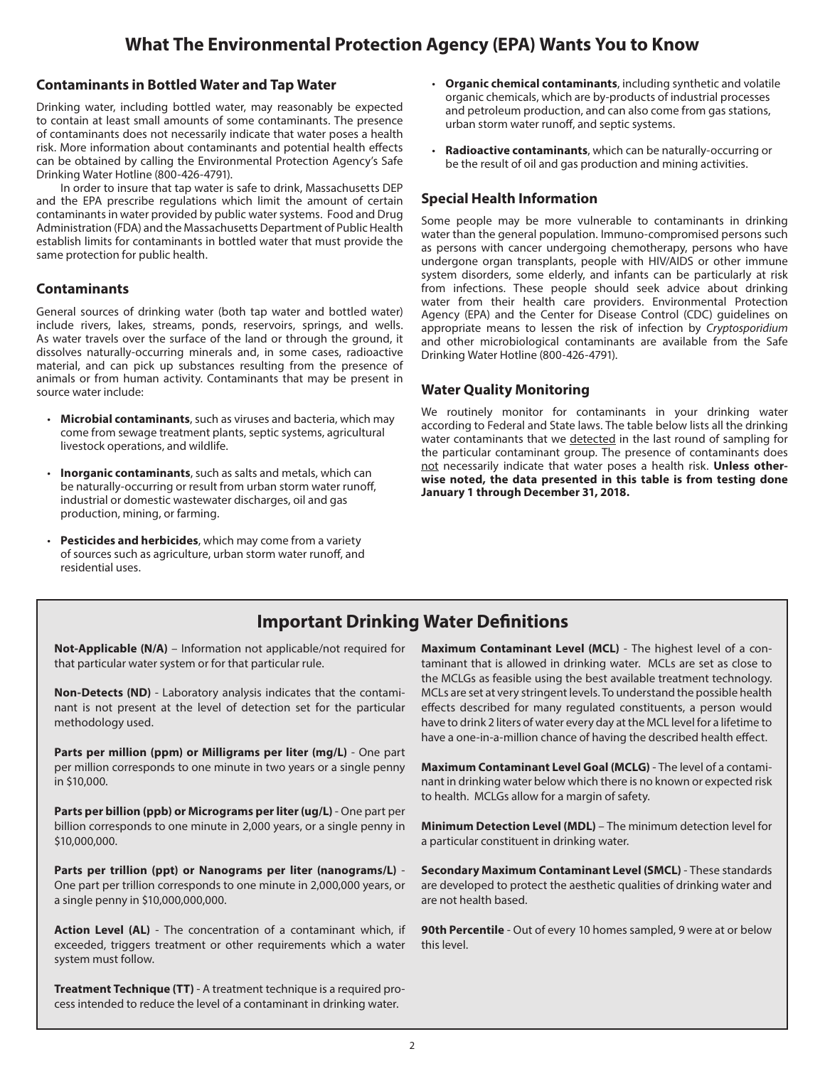# **What The Environmental Protection Agency (EPA) Wants You to Know**

#### **Contaminants in Bottled Water and Tap Water**

Drinking water, including bottled water, may reasonably be expected to contain at least small amounts of some contaminants. The presence of contaminants does not necessarily indicate that water poses a health risk. More information about contaminants and potential health effects can be obtained by calling the Environmental Protection Agency's Safe Drinking Water Hotline (800-426-4791).

In order to insure that tap water is safe to drink, Massachusetts DEP and the EPA prescribe regulations which limit the amount of certain contaminants in water provided by public water systems. Food and Drug Administration (FDA) and the Massachusetts Department of Public Health establish limits for contaminants in bottled water that must provide the same protection for public health.

#### **Contaminants**

General sources of drinking water (both tap water and bottled water) include rivers, lakes, streams, ponds, reservoirs, springs, and wells. As water travels over the surface of the land or through the ground, it dissolves naturally-occurring minerals and, in some cases, radioactive material, and can pick up substances resulting from the presence of animals or from human activity. Contaminants that may be present in source water include:

- **Microbial contaminants**, such as viruses and bacteria, which may come from sewage treatment plants, septic systems, agricultural livestock operations, and wildlife.
- **Inorganic contaminants**, such as salts and metals, which can be naturally-occurring or result from urban storm water runoff, industrial or domestic wastewater discharges, oil and gas production, mining, or farming.
- **Pesticides and herbicides**, which may come from a variety of sources such as agriculture, urban storm water runoff, and residential uses.
- **Organic chemical contaminants**, including synthetic and volatile organic chemicals, which are by-products of industrial processes and petroleum production, and can also come from gas stations, urban storm water runoff, and septic systems.
- **Radioactive contaminants**, which can be naturally-occurring or be the result of oil and gas production and mining activities.

#### **Special Health Information**

Some people may be more vulnerable to contaminants in drinking water than the general population. Immuno-compromised persons such as persons with cancer undergoing chemotherapy, persons who have undergone organ transplants, people with HIV/AIDS or other immune system disorders, some elderly, and infants can be particularly at risk from infections. These people should seek advice about drinking water from their health care providers. Environmental Protection Agency (EPA) and the Center for Disease Control (CDC) guidelines on appropriate means to lessen the risk of infection by *Cryptosporidium* and other microbiological contaminants are available from the Safe Drinking Water Hotline (800-426-4791).

#### **Water Quality Monitoring**

We routinely monitor for contaminants in your drinking water according to Federal and State laws. The table below lists all the drinking water contaminants that we detected in the last round of sampling for the particular contaminant group. The presence of contaminants does not necessarily indicate that water poses a health risk. **Unless otherwise noted, the data presented in this table is from testing done January 1 through December 31, 2018.** 

# **Important Drinking Water Definitions**

**Not-Applicable (N/A)** – Information not applicable/not required for that particular water system or for that particular rule.

**Non-Detects (ND)** - Laboratory analysis indicates that the contaminant is not present at the level of detection set for the particular methodology used.

**Parts per million (ppm) or Milligrams per liter (mg/L)** - One part per million corresponds to one minute in two years or a single penny in \$10,000.

**Parts per billion (ppb) or Micrograms per liter (ug/L)** - One part per billion corresponds to one minute in 2,000 years, or a single penny in \$10,000,000.

**Parts per trillion (ppt) or Nanograms per liter (nanograms/L)** - One part per trillion corresponds to one minute in 2,000,000 years, or a single penny in \$10,000,000,000.

**Action Level (AL)** - The concentration of a contaminant which, if exceeded, triggers treatment or other requirements which a water system must follow.

**Treatment Technique (TT)** - A treatment technique is a required process intended to reduce the level of a contaminant in drinking water.

**Maximum Contaminant Level (MCL)** - The highest level of a contaminant that is allowed in drinking water. MCLs are set as close to the MCLGs as feasible using the best available treatment technology. MCLs are set at very stringent levels. To understand the possible health effects described for many regulated constituents, a person would have to drink 2 liters of water every day at the MCL level for a lifetime to have a one-in-a-million chance of having the described health effect.

**Maximum Contaminant Level Goal (MCLG)** - The level of a contaminant in drinking water below which there is no known or expected risk to health. MCLGs allow for a margin of safety.

**Minimum Detection Level (MDL)** – The minimum detection level for a particular constituent in drinking water.

**Secondary Maximum Contaminant Level (SMCL)** - These standards are developed to protect the aesthetic qualities of drinking water and are not health based.

**90th Percentile** - Out of every 10 homes sampled, 9 were at or below this level.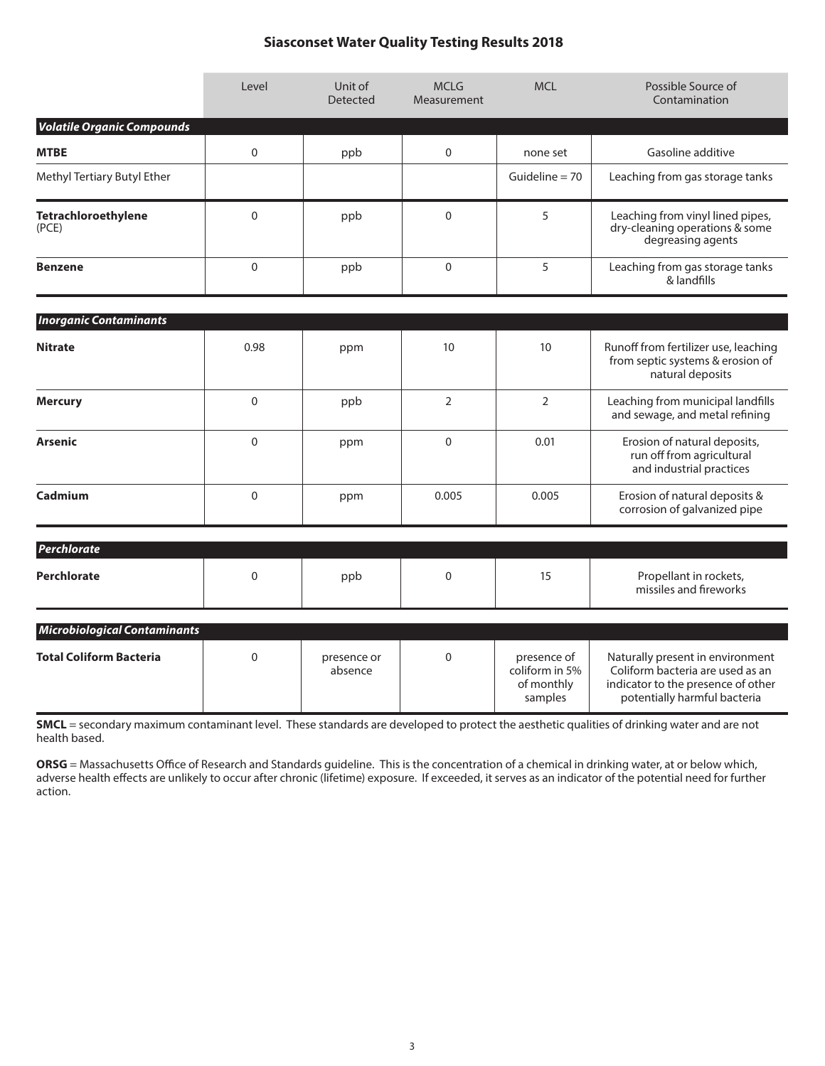# **Siasconset Water Quality Testing Results 2018**

|                                     | Level       | Unit of<br><b>Detected</b> | <b>MCLG</b><br>Measurement |                                                        | Possible Source of<br>Contamination                                                                                                        |
|-------------------------------------|-------------|----------------------------|----------------------------|--------------------------------------------------------|--------------------------------------------------------------------------------------------------------------------------------------------|
| <b>Volatile Organic Compounds</b>   |             |                            |                            |                                                        |                                                                                                                                            |
| <b>MTBE</b>                         | $\Omega$    | ppb                        | 0                          |                                                        | Gasoline additive                                                                                                                          |
| Methyl Tertiary Butyl Ether         |             |                            |                            | Guideline $= 70$                                       | Leaching from gas storage tanks                                                                                                            |
| Tetrachloroethylene<br>(PCE)        | $\Omega$    | ppb                        | $\overline{0}$             | 5                                                      | Leaching from vinyl lined pipes,<br>dry-cleaning operations & some<br>degreasing agents                                                    |
| <b>Benzene</b>                      | $\Omega$    | ppb                        | $\overline{0}$             | 5                                                      | Leaching from gas storage tanks<br>& landfills                                                                                             |
| <b>Inorganic Contaminants</b>       |             |                            |                            |                                                        |                                                                                                                                            |
|                                     |             |                            |                            |                                                        |                                                                                                                                            |
| <b>Nitrate</b>                      | 0.98        | ppm                        | 10                         | 10                                                     | Runoff from fertilizer use, leaching<br>from septic systems & erosion of<br>natural deposits                                               |
| <b>Mercury</b>                      | $\Omega$    | ppb                        | $\overline{2}$             | $\overline{2}$                                         | Leaching from municipal landfills<br>and sewage, and metal refining                                                                        |
| <b>Arsenic</b>                      | $\mathbf 0$ | ppm                        | $\overline{0}$             | 0.01                                                   | Erosion of natural deposits,<br>run off from agricultural<br>and industrial practices                                                      |
| Cadmium                             | $\mathbf 0$ | ppm                        | 0.005                      | 0.005                                                  | Erosion of natural deposits &<br>corrosion of galvanized pipe                                                                              |
| Perchlorate                         |             |                            |                            |                                                        |                                                                                                                                            |
| <b>Perchlorate</b>                  | $\Omega$    | ppb                        | $\Omega$                   | 15                                                     | Propellant in rockets,<br>missiles and fireworks                                                                                           |
| <b>Microbiological Contaminants</b> |             |                            |                            |                                                        |                                                                                                                                            |
| <b>Total Coliform Bacteria</b>      | $\mathbf 0$ | presence or<br>absence     | 0                          | presence of<br>coliform in 5%<br>of monthly<br>samples | Naturally present in environment<br>Coliform bacteria are used as an<br>indicator to the presence of other<br>potentially harmful bacteria |

**SMCL** = secondary maximum contaminant level. These standards are developed to protect the aesthetic qualities of drinking water and are not health based.

**ORSG** = Massachusetts Office of Research and Standards guideline. This is the concentration of a chemical in drinking water, at or below which, adverse health effects are unlikely to occur after chronic (lifetime) exposure. If exceeded, it serves as an indicator of the potential need for further action.